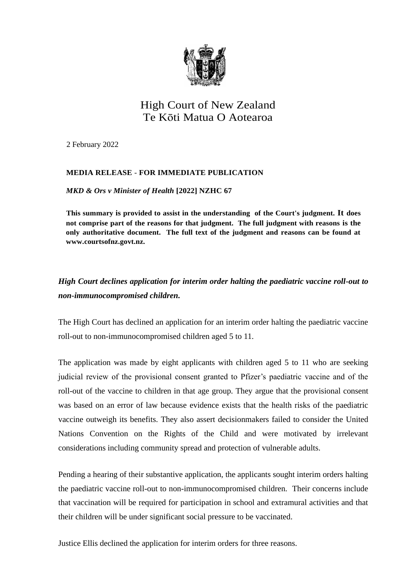

## High Court of New Zealand Te Kōti Matua O Aotearoa

2 February 2022

## **MEDIA RELEASE** - **FOR IMMEDIATE PUBLICATION**

*MKD & Ors v Minister of Health* **[2022] NZHC 67**

**This summary is provided to assist in the understanding of the Court's judgment. It does not comprise part of the reasons for that judgment. The full judgment with reasons is the only authoritative document. The full text of the judgment and reasons can be found at [www.courtsofnz.govt.nz.](http://www.courtsofnz.govt.nz/)**

## *High Court declines application for interim order halting the paediatric vaccine roll-out to non-immunocompromised children.*

The High Court has declined an application for an interim order halting the paediatric vaccine roll-out to non-immunocompromised children aged 5 to 11.

The application was made by eight applicants with children aged 5 to 11 who are seeking judicial review of the provisional consent granted to Pfizer's paediatric vaccine and of the roll-out of the vaccine to children in that age group. They argue that the provisional consent was based on an error of law because evidence exists that the health risks of the paediatric vaccine outweigh its benefits. They also assert decisionmakers failed to consider the United Nations Convention on the Rights of the Child and were motivated by irrelevant considerations including community spread and protection of vulnerable adults.

Pending a hearing of their substantive application, the applicants sought interim orders halting the paediatric vaccine roll-out to non-immunocompromised children. Their concerns include that vaccination will be required for participation in school and extramural activities and that their children will be under significant social pressure to be vaccinated.

Justice Ellis declined the application for interim orders for three reasons.